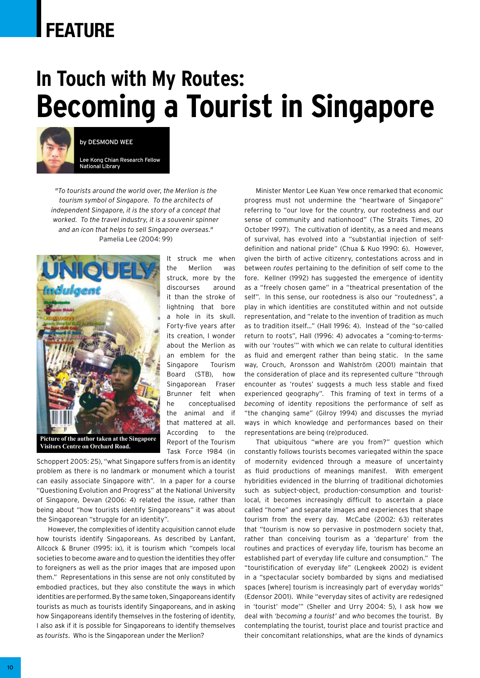# **FEATURE**

# **In Touch with My Routes: Becoming a Tourist in Singapore**



by Desmond Wee

Lee Kong Chian Research Fellow National Library

*"To tourists around the world over, the Merlion is the tourism symbol of Singapore. To the architects of independent Singapore, it is the story of a concept that worked. To the travel industry, it is a souvenir spinner and an icon that helps to sell Singapore overseas."* Pamelia Lee (2004: 99)



It struck me when the Merlion was struck, more by the discourses around it than the stroke of lightning that bore a hole in its skull. Forty-five years after its creation, I wonder about the Merlion as an emblem for the Singapore Tourism Board (STB), how Singaporean Fraser Brunner felt when he conceptualised the animal and if that mattered at all. According to the Report of the Tourism Task Force 1984 (in

Schoppert 2005: 25), "what Singapore suffers from is an identity problem as there is no landmark or monument which a tourist can easily associate Singapore with". In a paper for a course "Questioning Evolution and Progress" at the National University of Singapore, Devan (2006: 4) related the issue, rather than being about "how tourists identify Singaporeans" it was about the Singaporean "struggle for an identity".

However, the complexities of identity acquisition cannot elude how tourists identify Singaporeans. As described by Lanfant, Allcock & Bruner (1995: ix), it is tourism which "compels local societies to become aware and to question the identities they offer to foreigners as well as the prior images that are imposed upon them." Representations in this sense are not only constituted by embodied practices, but they also constitute the ways in which identities are performed. By the same token, Singaporeans identify tourists as much as tourists identify Singaporeans, and in asking how Singaporeans identify themselves in the fostering of identity, I also ask if it is possible for Singaporeans to identify themselves as *tourists*. Who is the Singaporean under the Merlion?

Minister Mentor Lee Kuan Yew once remarked that economic progress must not undermine the "heartware of Singapore" referring to "our love for the country, our rootedness and our sense of community and nationhood" (The Straits Times, 20 October 1997). The cultivation of identity, as a need and means of survival, has evolved into a "substantial injection of selfdefinition and national pride" (Chua & Kuo 1990: 6). However, given the birth of active citizenry, contestations across and in between *routes* pertaining to the definition of self come to the fore. Kellner (1992) has suggested the emergence of identity as a "freely chosen game" in a "theatrical presentation of the self". In this sense, our rootedness is also our "routedness", a play in which identities are constituted within and not outside representation, and "relate to the invention of tradition as much as to tradition itself…" (Hall 1996: 4). Instead of the "so-called return to roots", Hall (1996: 4) advocates a "coming-to-termswith our 'routes'" with which we can relate to cultural identities as fluid and emergent rather than being static. In the same way, Crouch, Aronsson and Wahlström (2001) maintain that the consideration of place and its represented culture "through encounter as 'routes' suggests a much less stable and fixed experienced geography". This framing of text in terms of a *becoming* of identity repositions the performance of self as "the changing same" (Gilroy 1994) and discusses the myriad ways in which knowledge and performances based on their representations are being (re)produced.

That ubiquitous "where are you from?" question which constantly follows tourists becomes variegated within the space of modernity evidenced through a measure of uncertainty as fluid productions of meanings manifest. With emergent hybridities evidenced in the blurring of traditional dichotomies such as subject-object, production-consumption and touristlocal, it becomes increasingly difficult to ascertain a place called "home" and separate images and experiences that shape tourism from the every day. McCabe (2002: 63) reiterates that "tourism is now so pervasive in postmodern society that, rather than conceiving tourism as a 'departure' from the routines and practices of everyday life, tourism has become an established part of everyday life culture and consumption." The "touristification of everyday life" (Lengkeek 2002) is evident in a "spectacular society bombarded by signs and mediatised spaces [where] tourism is increasingly part of everyday worlds" (Edensor 2001). While "everyday sites of activity are redesigned in 'tourist' mode'" (Sheller and Urry 2004: 5), I ask how we deal with *'becoming a tourist'* and *who* becomes the tourist. By contemplating the tourist, tourist place and tourist practice and their concomitant relationships, what are the kinds of dynamics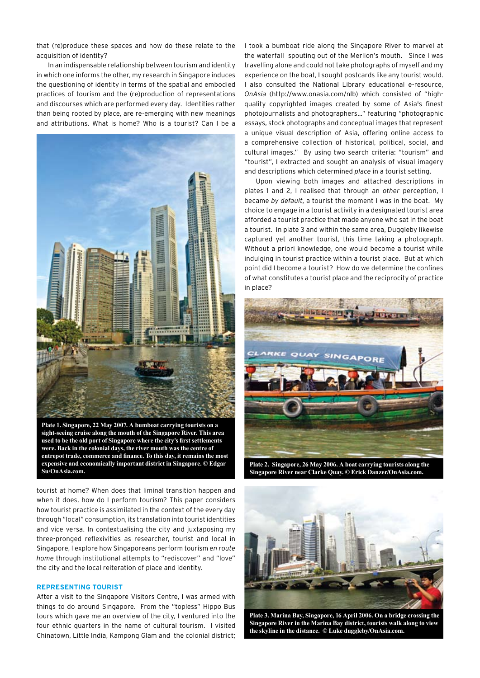that (re)produce these spaces and how do these relate to the acquisition of identity?

In an indispensable relationship between tourism and identity in which one informs the other, my research in Singapore induces the questioning of identity in terms of the spatial and embodied practices of tourism and the (re)production of representations and discourses which are performed every day. Identities rather than being rooted by place, are re-emerging with new meanings and attributions. What is home? Who is a tourist? Can I be a



**Plate 1. Singapore, 22 May 2007. A bumboat carrying tourists on a sight-seeing cruise along the mouth of the Singapore River. This area used to be the old port of Singapore where the city's first settlements were. Back in the colonial days, the river mouth was the centre of entrepot trade, commerce and finance. To this day, it remains the most expensive and economically important district in Singapore. © Edgar Su/OnAsia.com.**

tourist at home? When does that liminal transition happen and when it does, how do I perform tourism? This paper considers how tourist practice is assimilated in the context of the every day through "local" consumption, its translation into tourist identities and vice versa. In contextualising the city and juxtaposing my three-pronged reflexivities as researcher, tourist and local in Singapore, I explore how Singaporeans perform tourism *en route home* through institutional attempts to "rediscover" and "love" the city and the local reiteration of place and identity.

## **Representing Tourist**

After a visit to the Singapore Visitors Centre, I was armed with things to do around Sıngapore. From the "topless" Hippo Bus tours which gave me an overview of the city, I ventured into the four ethnic quarters in the name of cultural tourism. I visited Chinatown, Little India, Kampong Glam and the colonial district; I took a bumboat ride along the Singapore River to marvel at the waterfall spouting out of the Merlion's mouth. Since I was travelling alone and could not take photographs of myself and my experience on the boat, I sought postcards like any tourist would. I also consulted the National Library educational e-resource, *OnAsia* (http://www.onasia.com/nlb) which consisted of "highquality copyrighted images created by some of Asia's finest photojournalists and photographers…" featuring "photographic essays, stock photographs and conceptual images that represent a unique visual description of Asia, offering online access to a comprehensive collection of historical, political, social, and cultural images." By using two search criteria: "tourism" and "tourist", I extracted and sought an analysis of visual imagery and descriptions which determined *place* in a tourist setting.

Upon viewing both images and attached descriptions in plates 1 and 2, I realised that through an *other* perception, I became *by default*, a tourist the moment I was in the boat. My choice to engage in a tourist activity in a designated tourist area afforded a tourist practice that made anyone who sat in the boat a tourist. In plate 3 and within the same area, Duggleby likewise captured yet another tourist, this time taking a photograph. Without a priori knowledge, one would become a tourist while indulging in tourist practice within a tourist place. But at which point did I become a tourist? How do we determine the confines of what constitutes a tourist place and the reciprocity of practice in place?



**Plate 2. Singapore, 26 May 2006. A boat carrying tourists along the Singapore River near Clarke Quay. © Erick Danzer/OnAsia.com.**



**Plate 3. Marina Bay, Singapore, 16 April 2006. On a bridge crossing the Singapore River in the Marina Bay district, tourists walk along to view the skyline in the distance. © Luke duggleby/OnAsia.com.**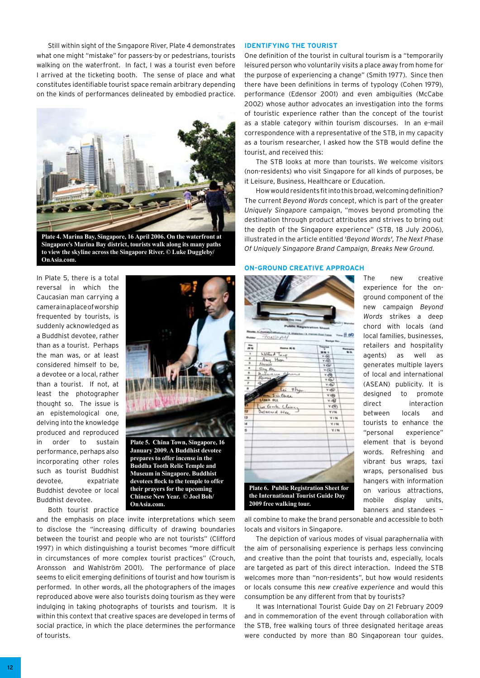Still within sight of the Sıngapore River, Plate 4 demonstrates what one might "mistake" for passers-by or pedestrians, tourists walking on the waterfront. In fact, I was a tourist even before I arrived at the ticketing booth. The sense of place and what constitutes identifiable tourist space remain arbitrary depending on the kinds of performances delineated by embodied practice.



**Plate 4. Marina Bay, Singapore, 16 April 2006. On the waterfront at Singapore's Marina Bay district, tourists walk along its many paths to view the skyline across the Singapore River. © Luke Duggleby/ OnAsia.com.**

In Plate 5, there is a total reversal in which the Caucasian man carrying a camera in a place of worship frequented by tourists, is suddenly acknowledged as a Buddhist devotee, rather than as a tourist. Perhaps the man was, or at least considered himself to be, a devotee or a local, rather than a tourist. If not, at least the photographer thought so. The issue is an epistemological one, delving into the knowledge produced and reproduced in order to sustain performance, perhaps also incorporating other roles such as tourist Buddhist devotee, expatriate Buddhist devotee or local Buddhist devotee.

Both tourist practice



**Plate 5. China Town, Singapore, 16 January 2009. A Buddhist devotee prepares to offer incense in the Buddha Tooth Relic Temple and Museum in Singapore. Buddhist devotees flock to the temple to offer their prayers for the upcoming Chinese New Year. © Joel Boh/ OnAsia.com.**

and the emphasis on place invite interpretations which seem to disclose the "increasing difficulty of drawing boundaries between the tourist and people who are not tourists" (Clifford 1997) in which distinguishing a tourist becomes "more difficult in circumstances of more complex tourist practices" (Crouch, Aronsson and Wahlström 2001). The performance of place seems to elicit emerging definitions of tourist and how tourism is performed. In other words, all the photographers of the images reproduced above were also tourists doing tourism as they were indulging in taking photographs of tourists and tourism. It is within this context that creative spaces are developed in terms of social practice, in which the place determines the performance of tourists.

# **Identifying the Tourist**

One definition of the tourist in cultural tourism is a "temporarily leisured person who voluntarily visits a place away from home for the purpose of experiencing a change" (Smith 1977). Since then there have been definitions in terms of typology (Cohen 1979), performance (Edensor 2001) and even ambiguities (McCabe 2002) whose author advocates an investigation into the forms of touristic experience rather than the concept of the tourist as a stable category within tourism discourses. In an e-mail correspondence with a representative of the STB, in my capacity as a tourism researcher, I asked how the STB would define the tourist, and received this:

The STB looks at more than tourists. We welcome visitors (non-residents) who visit Singapore for all kinds of purposes, be it Leisure, Business, Healthcare or Education.

How would residents fit into this broad, welcoming definition? The current *Beyond Words* concept, which is part of the greater *Uniquely Singapore* campaign, "moves beyond promoting the destination through product attributes and strives to bring out the depth of the Singapore experience" (STB, 18 July 2006), illustrated in the article entitled *'Beyond Words', The Next Phase Of Uniquely Singapore Brand Campaign, Breaks New Ground.*

#### **On-ground Creative Approach**

|                         | <b>Ritsda: 1. August</b><br>TONE AH    | <b>AH, Kutak Tarika</b>             | H 69       |
|-------------------------|----------------------------------------|-------------------------------------|------------|
| No.<br>$-$              |                                        |                                     |            |
| ٠                       | William Taur                           |                                     | ın         |
| ä                       | Awy Hip                                | v rije<br><b>V AND</b>              |            |
| 3                       | Alexa                                  | 7.05                                |            |
| ٠                       | ç,<br>n                                | $\tau(\overline{N})$                |            |
| s<br>۰                  |                                        | <b>Y ATA</b>                        |            |
| y                       | Romy<br>磁                              | 4.66                                |            |
| ö                       |                                        | <b>YIEU</b>                         |            |
|                         | Lei Thy                                | Y HEU.                              |            |
| 3 in Clear<br>Ligan out |                                        | Y <sub>1</sub> <sup>g</sup>         |            |
|                         |                                        | Y IQ                                |            |
| m                       | in Gode Clear                          | Y(S)                                |            |
|                         | Definitional Indian                    |                                     | <b>VIM</b> |
| ŧ3                      |                                        |                                     | <b>YIN</b> |
|                         |                                        |                                     | V.I'M      |
|                         |                                        |                                     | <b>YIN</b> |
|                         |                                        |                                     |            |
|                         |                                        |                                     |            |
|                         |                                        |                                     |            |
|                         |                                        |                                     |            |
|                         |                                        |                                     |            |
|                         |                                        |                                     |            |
|                         |                                        |                                     |            |
|                         |                                        |                                     |            |
|                         |                                        |                                     |            |
|                         | Plate 6. Public Registration Sheet for |                                     |            |
|                         |                                        | the International Tourist Guide Day |            |

The new creative experience for the onground component of the new campaign *Beyond Words* strikes a deep chord with locals (and local families, businesses, retailers and hospitality agents) as well as generates multiple layers of local and international (ASEAN) publicity. It is designed to promote direct interaction between locals and tourists to enhance the "personal experience" element that is beyond words. Refreshing and vibrant bus wraps, taxi wraps, personalised bus hangers with information on various attractions, mobile display units, banners and standees —

all combine to make the brand personable and accessible to both locals and visitors in Singapore.

The depiction of various modes of visual paraphernalia with the aim of personalising experience is perhaps less convincing and creative than the point that tourists and, especially, locals are targeted as part of this direct interaction. Indeed the STB welcomes more than "non-residents", but how would residents or locals consume this *new creative experience* and would this consumption be any different from that by tourists?

It was International Tourist Guide Day on 21 February 2009 and in commemoration of the event through collaboration with the STB, free walking tours of three designated heritage areas were conducted by more than 80 Singaporean tour guides.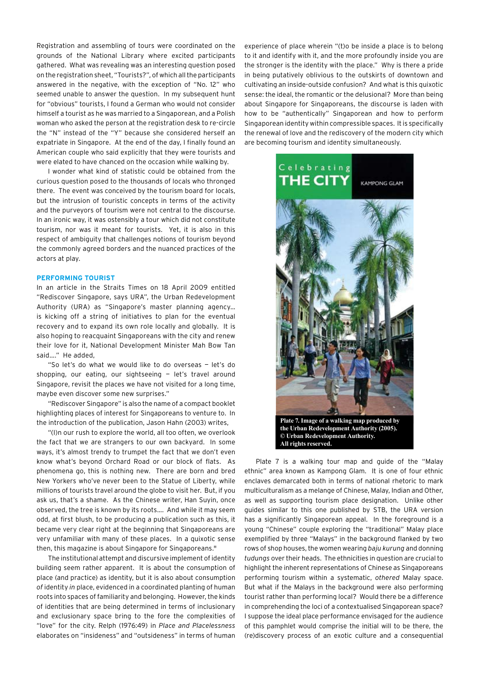Registration and assembling of tours were coordinated on the grounds of the National Library where excited participants gathered. What was revealing was an interesting question posed on the registration sheet, "Tourists?", of which all the participants answered in the negative, with the exception of "No. 12" who seemed unable to answer the question. In my subsequent hunt for "obvious" tourists, I found a German who would not consider himself a tourist as he was married to a Singaporean, and a Polish woman who asked the person at the registration desk to re-circle the "N" instead of the "Y" because she considered herself an expatriate in Singapore. At the end of the day, I finally found an American couple who said explicitly that they were tourists and were elated to have chanced on the occasion while walking by.

I wonder what kind of statistic could be obtained from the curious question posed to the thousands of locals who thronged there. The event was conceived by the tourism board for locals, but the intrusion of touristic concepts in terms of the activity and the purveyors of tourism were not central to the discourse. In an ironic way, it was ostensibly a tour which did not constitute tourism, nor was it meant for tourists. Yet, it is also in this respect of ambiguity that challenges notions of tourism beyond the commonly agreed borders and the nuanced practices of the actors at play.

## **Performing Tourist**

In an article in the Straits Times on 18 April 2009 entitled "Rediscover Singapore, says URA", the Urban Redevelopment Authority (URA) as "Singapore's master planning agency… is kicking off a string of initiatives to plan for the eventual recovery and to expand its own role locally and globally. It is also hoping to reacquaint Singaporeans with the city and renew their love for it, National Development Minister Mah Bow Tan said…." He added,

"So let's do what we would like to do overseas — let's do shopping, our eating, our sightseeing — let's travel around Singapore, revisit the places we have not visited for a long time, maybe even discover some new surprises."

"Rediscover Singapore" is also the name of a compact booklet highlighting places of interest for Singaporeans to venture to. In the introduction of the publication, Jason Hahn (2003) writes,

"(I)n our rush to explore the world, all too often, we overlook the fact that we are strangers to our own backyard. In some ways, it's almost trendy to trumpet the fact that we don't even know what's beyond Orchard Road or our block of flats. As phenomena go, this is nothing new. There are born and bred New Yorkers who've never been to the Statue of Liberty, while millions of tourists travel around the globe to visit her. But, if you ask us, that's a shame. As the Chinese writer, Han Suyin, once observed, the tree is known by its roots…. And while it may seem odd, at first blush, to be producing a publication such as this, it became very clear right at the beginning that Singaporeans are very unfamiliar with many of these places. In a quixotic sense then, this magazine is about Singapore for Singaporeans."

The institutional attempt and discursive implement of identity building seem rather apparent. It is about the consumption of place (and practice) as identity, but it is also about consumption *of* identity *in* place, evidenced in a coordinated planting of human roots into spaces of familiarity and belonging. However, the kinds of identities that are being determined in terms of inclusionary and exclusionary space bring to the fore the complexities of "love" for the city. Relph (1976:49) in *Place and Placelessness*  elaborates on "insideness" and "outsideness" in terms of human

experience of place wherein "(t)o be inside a place is to belong to it and identify with it, and the more profoundly inside you are the stronger is the identity with the place." Why is there a pride in being putatively oblivious to the outskirts of downtown and cultivating an inside-outside confusion? And what is this quixotic sense: the ideal, the romantic or the delusional? More than being about Singapore for Singaporeans, the discourse is laden with how to be "authentically" Singaporean and how to perform Singaporean identity within compressible spaces. It is specifically the renewal of love and the rediscovery of the modern city which are becoming tourism and identity simultaneously.



Plate 7 is a walking tour map and guide of the "Malay ethnic" area known as Kampong Glam. It is one of four ethnic enclaves demarcated both in terms of national rhetoric to mark multiculturalism as a melange of Chinese, Malay, Indian and Other, as well as supporting tourism place designation. Unlike other guides similar to this one published by STB, the URA version has a significantly Singaporean appeal. In the foreground is a young "Chinese" couple exploring the "traditional" Malay place exemplified by three "Malays" in the background flanked by two rows of shop houses, the women wearing *baju kurung* and donning *tudungs* over their heads. The ethnicities in question are crucial to highlight the inherent representations of Chinese as Singaporeans performing tourism within a systematic, *othered* Malay space. But what if the Malays in the background were also performing tourist rather than performing local? Would there be a difference in comprehending the loci of a contextualised Singaporean space? I suppose the ideal place performance envisaged for the audience of this pamphlet would comprise the initial will to be there, the (re)discovery process of an exotic culture and a consequential